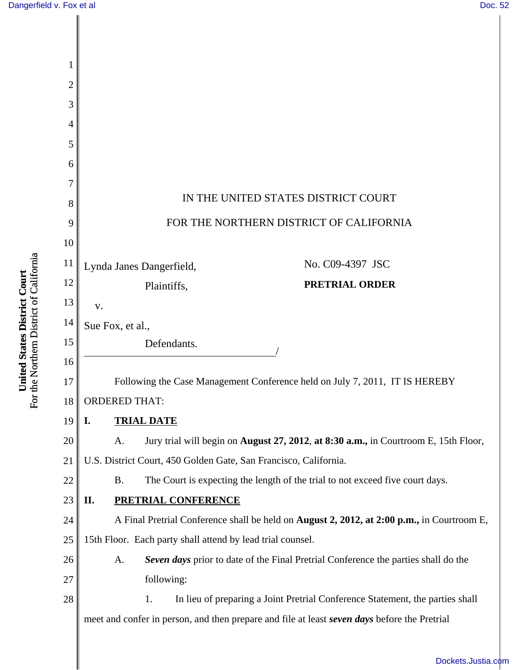| 1        |                                                                                                     |
|----------|-----------------------------------------------------------------------------------------------------|
| 2        |                                                                                                     |
| 3        |                                                                                                     |
| 4        |                                                                                                     |
| 5        |                                                                                                     |
| 6        |                                                                                                     |
| 7        | IN THE UNITED STATES DISTRICT COURT                                                                 |
| 8        |                                                                                                     |
| 9        | FOR THE NORTHERN DISTRICT OF CALIFORNIA                                                             |
| 10       |                                                                                                     |
| 11       | No. C09-4397 JSC<br>Lynda Janes Dangerfield,                                                        |
| 12       | <b>PRETRIAL ORDER</b><br>Plaintiffs,                                                                |
| 13       | V.                                                                                                  |
| 14       | Sue Fox, et al.,                                                                                    |
| 15       | Defendants.                                                                                         |
| 16       |                                                                                                     |
| 17<br>18 | Following the Case Management Conference held on July 7, 2011, IT IS HEREBY<br><b>ORDERED THAT:</b> |
| 19       | <b>TRIAL DATE</b><br>I.                                                                             |
| 20       | Jury trial will begin on August 27, 2012, at 8:30 a.m., in Courtroom E, 15th Floor,<br>A.           |
| 21       | U.S. District Court, 450 Golden Gate, San Francisco, California.                                    |
| 22       | The Court is expecting the length of the trial to not exceed five court days.<br><b>B.</b>          |
| 23       | П.<br><b>PRETRIAL CONFERENCE</b>                                                                    |
| 24       | A Final Pretrial Conference shall be held on <b>August 2, 2012, at 2:00 p.m.,</b> in Courtroom E,   |
| 25       | 15th Floor. Each party shall attend by lead trial counsel.                                          |
| 26       | Seven days prior to date of the Final Pretrial Conference the parties shall do the<br>A.            |
| 27       | following:                                                                                          |
| 28       | 1.<br>In lieu of preparing a Joint Pretrial Conference Statement, the parties shall                 |
|          | meet and confer in person, and then prepare and file at least seven days before the Pretrial        |
|          |                                                                                                     |

**United States District Court**<br>For the Northern District of California For the Northern District of California **United States District Court**

[Dockets.Justia.com](http://dockets.justia.com/)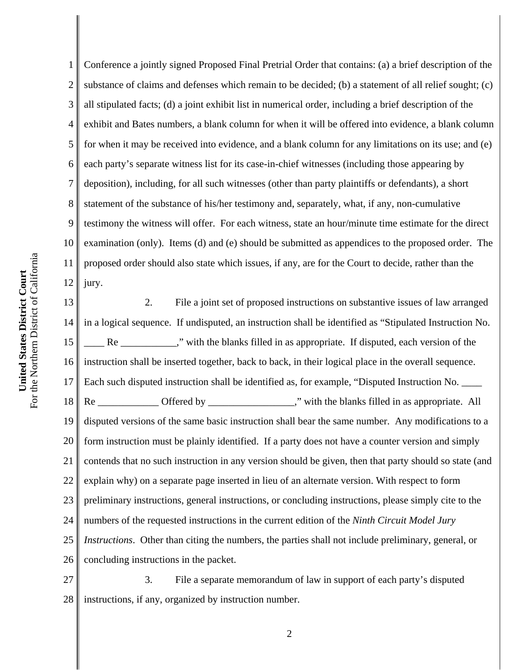1 2 3 4 5 6 7 8 9 10 11 12 Conference a jointly signed Proposed Final Pretrial Order that contains: (a) a brief description of the substance of claims and defenses which remain to be decided; (b) a statement of all relief sought; (c) all stipulated facts; (d) a joint exhibit list in numerical order, including a brief description of the exhibit and Bates numbers, a blank column for when it will be offered into evidence, a blank column for when it may be received into evidence, and a blank column for any limitations on its use; and (e) each party's separate witness list for its case-in-chief witnesses (including those appearing by deposition), including, for all such witnesses (other than party plaintiffs or defendants), a short statement of the substance of his/her testimony and, separately, what, if any, non-cumulative testimony the witness will offer. For each witness, state an hour/minute time estimate for the direct examination (only). Items (d) and (e) should be submitted as appendices to the proposed order. The proposed order should also state which issues, if any, are for the Court to decide, rather than the jury.

13 14 15 16 17 18 19 20 21 22 23 24 25 26 2. File a joint set of proposed instructions on substantive issues of law arranged in a logical sequence. If undisputed, an instruction shall be identified as "Stipulated Instruction No. Re We know the blanks filled in as appropriate. If disputed, each version of the instruction shall be inserted together, back to back, in their logical place in the overall sequence. Each such disputed instruction shall be identified as, for example, "Disputed Instruction No. Re Cffered by  $\blacksquare$  . The blanks filled in as appropriate. All disputed versions of the same basic instruction shall bear the same number. Any modifications to a form instruction must be plainly identified. If a party does not have a counter version and simply contends that no such instruction in any version should be given, then that party should so state (and explain why) on a separate page inserted in lieu of an alternate version. With respect to form preliminary instructions, general instructions, or concluding instructions, please simply cite to the numbers of the requested instructions in the current edition of the *Ninth Circuit Model Jury Instructions*. Other than citing the numbers, the parties shall not include preliminary, general, or concluding instructions in the packet.

27 28 3. File a separate memorandum of law in support of each party's disputed instructions, if any, organized by instruction number.

2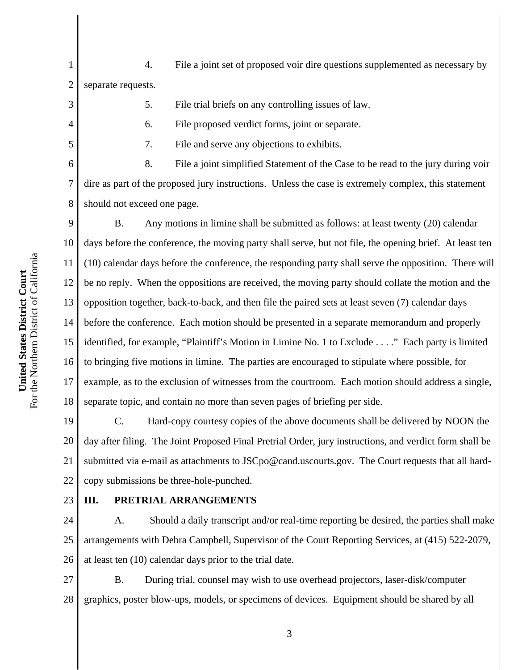1 2 4. File a joint set of proposed voir dire questions supplemented as necessary by separate requests.

5. File trial briefs on any controlling issues of law.

6. File proposed verdict forms, joint or separate.

7. File and serve any objections to exhibits.

8. File a joint simplified Statement of the Case to be read to the jury during voir dire as part of the proposed jury instructions. Unless the case is extremely complex, this statement should not exceed one page.

9 10 11 12 13 14 15 16 17 18 B. Any motions in limine shall be submitted as follows: at least twenty (20) calendar days before the conference, the moving party shall serve, but not file, the opening brief. At least ten (10) calendar days before the conference, the responding party shall serve the opposition. There will be no reply. When the oppositions are received, the moving party should collate the motion and the opposition together, back-to-back, and then file the paired sets at least seven (7) calendar days before the conference. Each motion should be presented in a separate memorandum and properly identified, for example, "Plaintiff's Motion in Limine No. 1 to Exclude . . . ." Each party is limited to bringing five motions in limine. The parties are encouraged to stipulate where possible, for example, as to the exclusion of witnesses from the courtroom. Each motion should address a single, separate topic, and contain no more than seven pages of briefing per side.

19 20 21 22 C. Hard-copy courtesy copies of the above documents shall be delivered by NOON the day after filing. The Joint Proposed Final Pretrial Order, jury instructions, and verdict form shall be submitted via e-mail as attachments to JSCpo@cand.uscourts.gov. The Court requests that all hardcopy submissions be three-hole-punched.

24

23

3

4

5

6

7

8

# **III. PRETRIAL ARRANGEMENTS**

25 26 A. Should a daily transcript and/or real-time reporting be desired, the parties shall make arrangements with Debra Campbell, Supervisor of the Court Reporting Services, at (415) 522-2079, at least ten (10) calendar days prior to the trial date.

27 28 B. During trial, counsel may wish to use overhead projectors, laser-disk/computer graphics, poster blow-ups, models, or specimens of devices. Equipment should be shared by all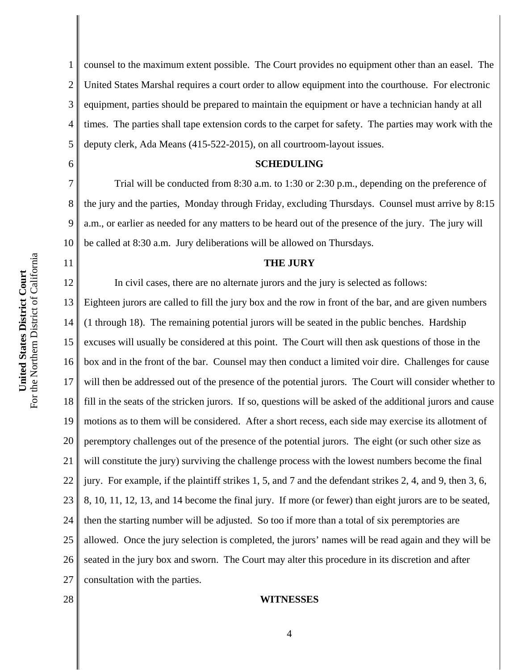6

7

8

9

10

11

1 2 3 4 5 counsel to the maximum extent possible. The Court provides no equipment other than an easel. The United States Marshal requires a court order to allow equipment into the courthouse. For electronic equipment, parties should be prepared to maintain the equipment or have a technician handy at all times. The parties shall tape extension cords to the carpet for safety. The parties may work with the deputy clerk, Ada Means (415-522-2015), on all courtroom-layout issues.

#### **SCHEDULING**

Trial will be conducted from 8:30 a.m. to 1:30 or 2:30 p.m., depending on the preference of the jury and the parties, Monday through Friday, excluding Thursdays. Counsel must arrive by 8:15 a.m., or earlier as needed for any matters to be heard out of the presence of the jury. The jury will be called at 8:30 a.m. Jury deliberations will be allowed on Thursdays.

#### **THE JURY**

12 13 14 15 16 17 18 19 20 21 22 23 24 25 26 27 In civil cases, there are no alternate jurors and the jury is selected as follows: Eighteen jurors are called to fill the jury box and the row in front of the bar, and are given numbers (1 through 18). The remaining potential jurors will be seated in the public benches. Hardship excuses will usually be considered at this point. The Court will then ask questions of those in the box and in the front of the bar. Counsel may then conduct a limited voir dire. Challenges for cause will then be addressed out of the presence of the potential jurors. The Court will consider whether to fill in the seats of the stricken jurors. If so, questions will be asked of the additional jurors and cause motions as to them will be considered. After a short recess, each side may exercise its allotment of peremptory challenges out of the presence of the potential jurors. The eight (or such other size as will constitute the jury) surviving the challenge process with the lowest numbers become the final jury. For example, if the plaintiff strikes 1, 5, and 7 and the defendant strikes 2, 4, and 9, then 3, 6, 8, 10, 11, 12, 13, and 14 become the final jury. If more (or fewer) than eight jurors are to be seated, then the starting number will be adjusted. So too if more than a total of six peremptories are allowed. Once the jury selection is completed, the jurors' names will be read again and they will be seated in the jury box and sworn. The Court may alter this procedure in its discretion and after consultation with the parties.

28

#### **WITNESSES**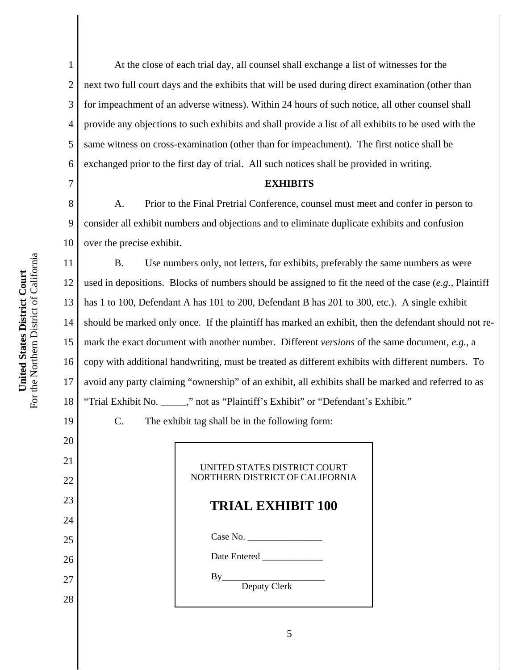2 3 4 5 6 At the close of each trial day, all counsel shall exchange a list of witnesses for the next two full court days and the exhibits that will be used during direct examination (other than for impeachment of an adverse witness). Within 24 hours of such notice, all other counsel shall provide any objections to such exhibits and shall provide a list of all exhibits to be used with the same witness on cross-examination (other than for impeachment). The first notice shall be exchanged prior to the first day of trial. All such notices shall be provided in writing.

#### **EXHIBITS**

8 9 10 A. Prior to the Final Pretrial Conference, counsel must meet and confer in person to consider all exhibit numbers and objections and to eliminate duplicate exhibits and confusion over the precise exhibit.

11 12 13 14 15 16 17 18 B. Use numbers only, not letters, for exhibits, preferably the same numbers as were used in depositions. Blocks of numbers should be assigned to fit the need of the case (*e.g.*, Plaintiff has 1 to 100, Defendant A has 101 to 200, Defendant B has 201 to 300, etc.). A single exhibit should be marked only once. If the plaintiff has marked an exhibit, then the defendant should not remark the exact document with another number. Different *versions* of the same document, *e.g.*, a copy with additional handwriting, must be treated as different exhibits with different numbers. To avoid any party claiming "ownership" of an exhibit, all exhibits shall be marked and referred to as "Trial Exhibit No. \_\_\_\_\_," not as "Plaintiff's Exhibit" or "Defendant's Exhibit."

19

20

21

22

23

24

25

26

27

28

1

7

C. The exhibit tag shall be in the following form:

## UNITED STATES DISTRICT COURT NORTHERN DISTRICT OF CALIFORNIA

# **TRIAL EXHIBIT 100**

Case No.

Date Entered

 $By$ 

Deputy Clerk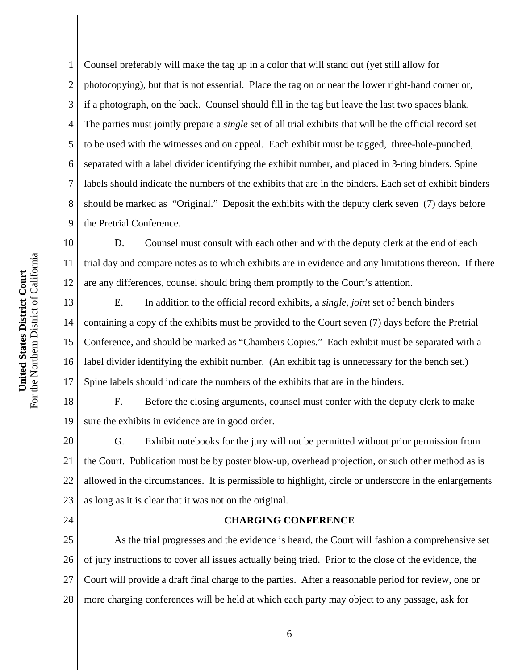2 3 4 5 6 7 8 9 Counsel preferably will make the tag up in a color that will stand out (yet still allow for photocopying), but that is not essential. Place the tag on or near the lower right-hand corner or, if a photograph, on the back. Counsel should fill in the tag but leave the last two spaces blank. The parties must jointly prepare a *single* set of all trial exhibits that will be the official record set to be used with the witnesses and on appeal. Each exhibit must be tagged, three-hole-punched, separated with a label divider identifying the exhibit number, and placed in 3-ring binders. Spine labels should indicate the numbers of the exhibits that are in the binders. Each set of exhibit binders should be marked as "Original." Deposit the exhibits with the deputy clerk seven (7) days before the Pretrial Conference.

10 11 12 D. Counsel must consult with each other and with the deputy clerk at the end of each trial day and compare notes as to which exhibits are in evidence and any limitations thereon. If there are any differences, counsel should bring them promptly to the Court's attention.

13 14 15 16 17 E. In addition to the official record exhibits, a *single*, *joint* set of bench binders containing a copy of the exhibits must be provided to the Court seven (7) days before the Pretrial Conference, and should be marked as "Chambers Copies." Each exhibit must be separated with a label divider identifying the exhibit number. (An exhibit tag is unnecessary for the bench set.) Spine labels should indicate the numbers of the exhibits that are in the binders.

18 19 F. Before the closing arguments, counsel must confer with the deputy clerk to make sure the exhibits in evidence are in good order.

20 21 22 23 G. Exhibit notebooks for the jury will not be permitted without prior permission from the Court. Publication must be by poster blow-up, overhead projection, or such other method as is allowed in the circumstances. It is permissible to highlight, circle or underscore in the enlargements as long as it is clear that it was not on the original.

24

1

## **CHARGING CONFERENCE**

25 26 27 28 As the trial progresses and the evidence is heard, the Court will fashion a comprehensive set of jury instructions to cover all issues actually being tried. Prior to the close of the evidence, the Court will provide a draft final charge to the parties. After a reasonable period for review, one or more charging conferences will be held at which each party may object to any passage, ask for